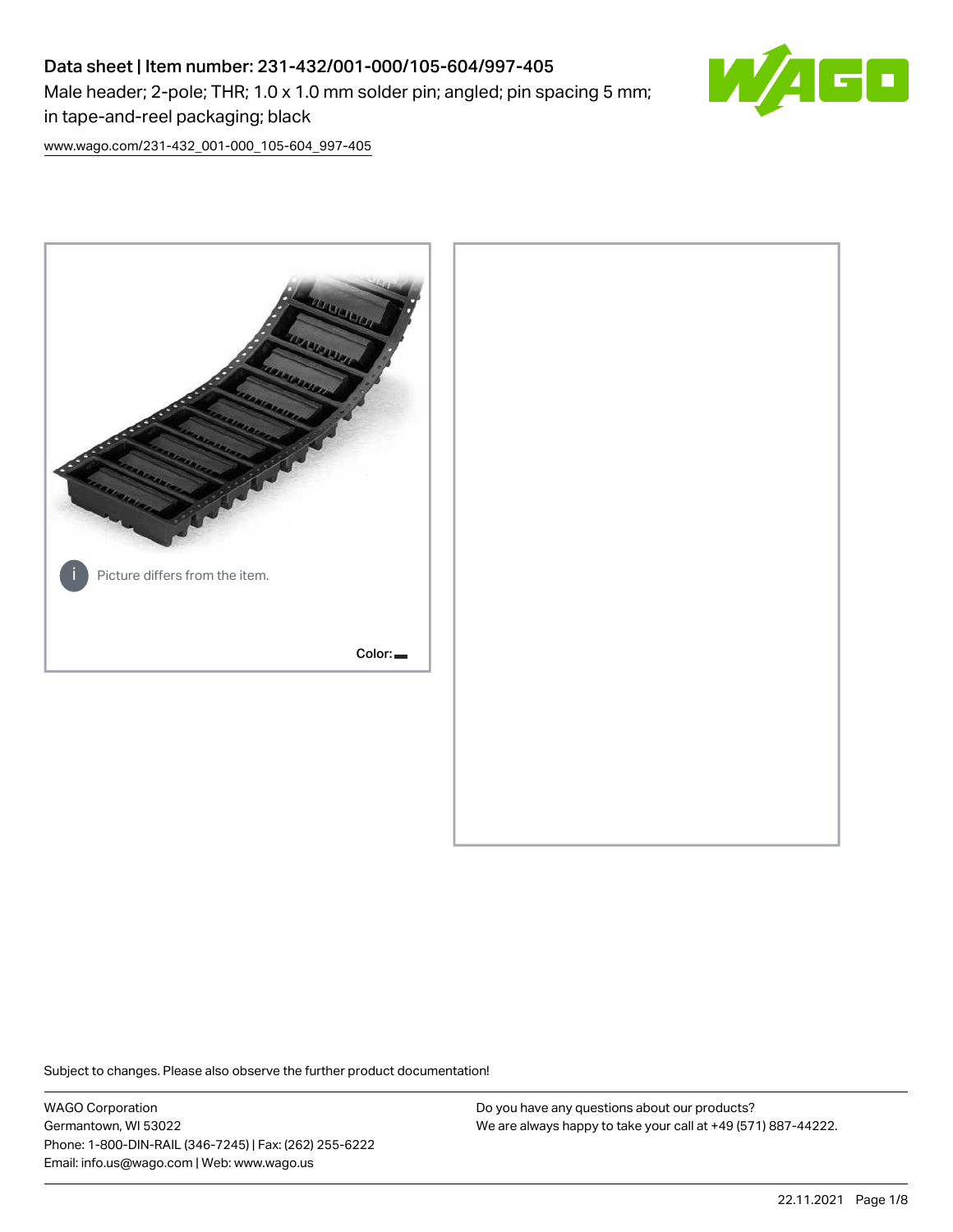# Data sheet | Item number: 231-432/001-000/105-604/997-405 Male header; 2-pole; THR; 1.0 x 1.0 mm solder pin; angled; pin spacing 5 mm; in tape-and-reel packaging; black



[www.wago.com/231-432\\_001-000\\_105-604\\_997-405](http://www.wago.com/231-432_001-000_105-604_997-405)



Subject to changes. Please also observe the further product documentation!

WAGO Corporation Germantown, WI 53022 Phone: 1-800-DIN-RAIL (346-7245) | Fax: (262) 255-6222 Email: info.us@wago.com | Web: www.wago.us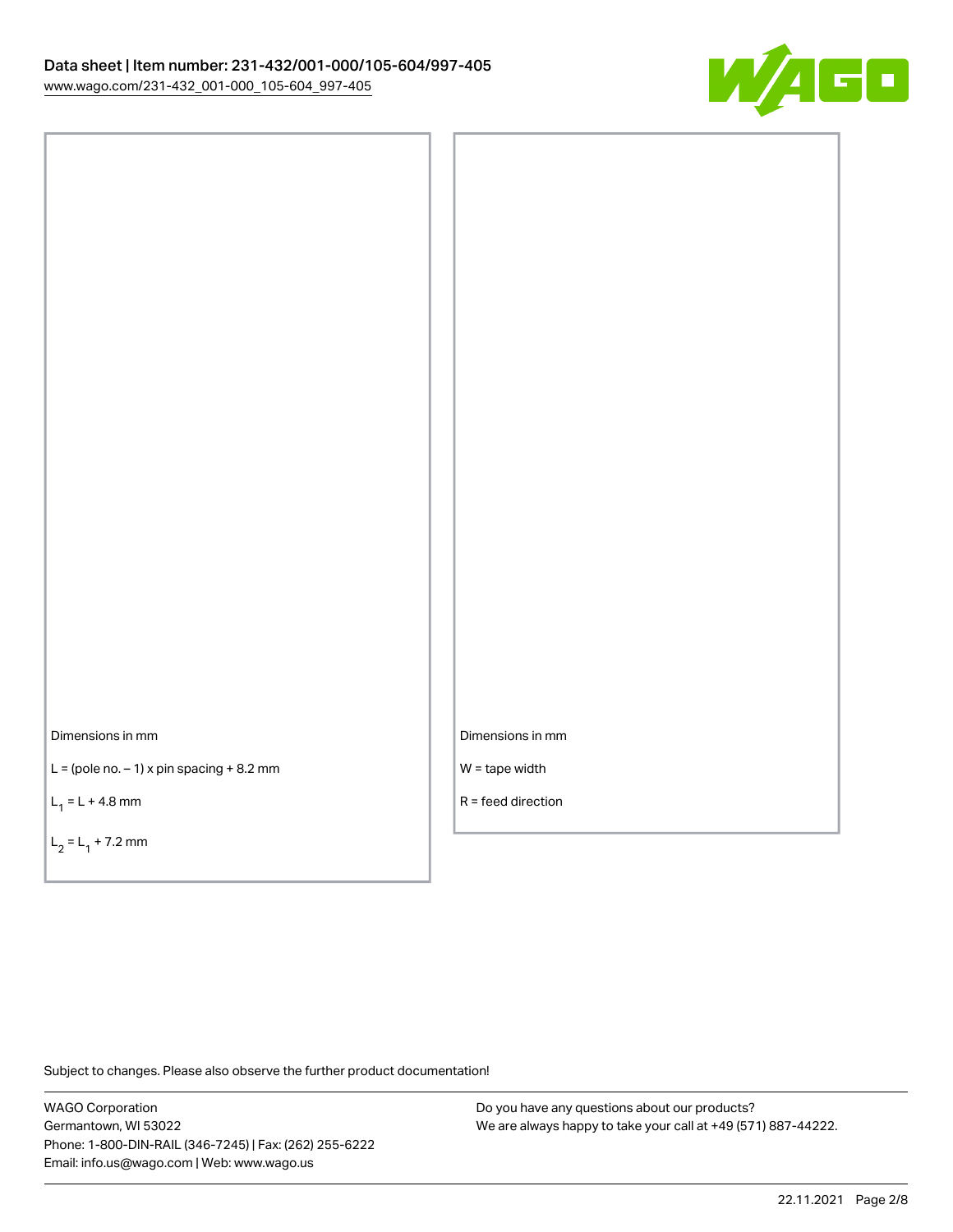

Dimensions in mm

 $L =$  (pole no.  $-1$ ) x pin spacing  $+8.2$  mm

 $L_1 = L + 4.8$  mm

 $L_2 = L_1 + 7.2$  mm

Dimensions in mm

W = tape width

R = feed direction

Subject to changes. Please also observe the further product documentation!

WAGO Corporation Germantown, WI 53022 Phone: 1-800-DIN-RAIL (346-7245) | Fax: (262) 255-6222 Email: info.us@wago.com | Web: www.wago.us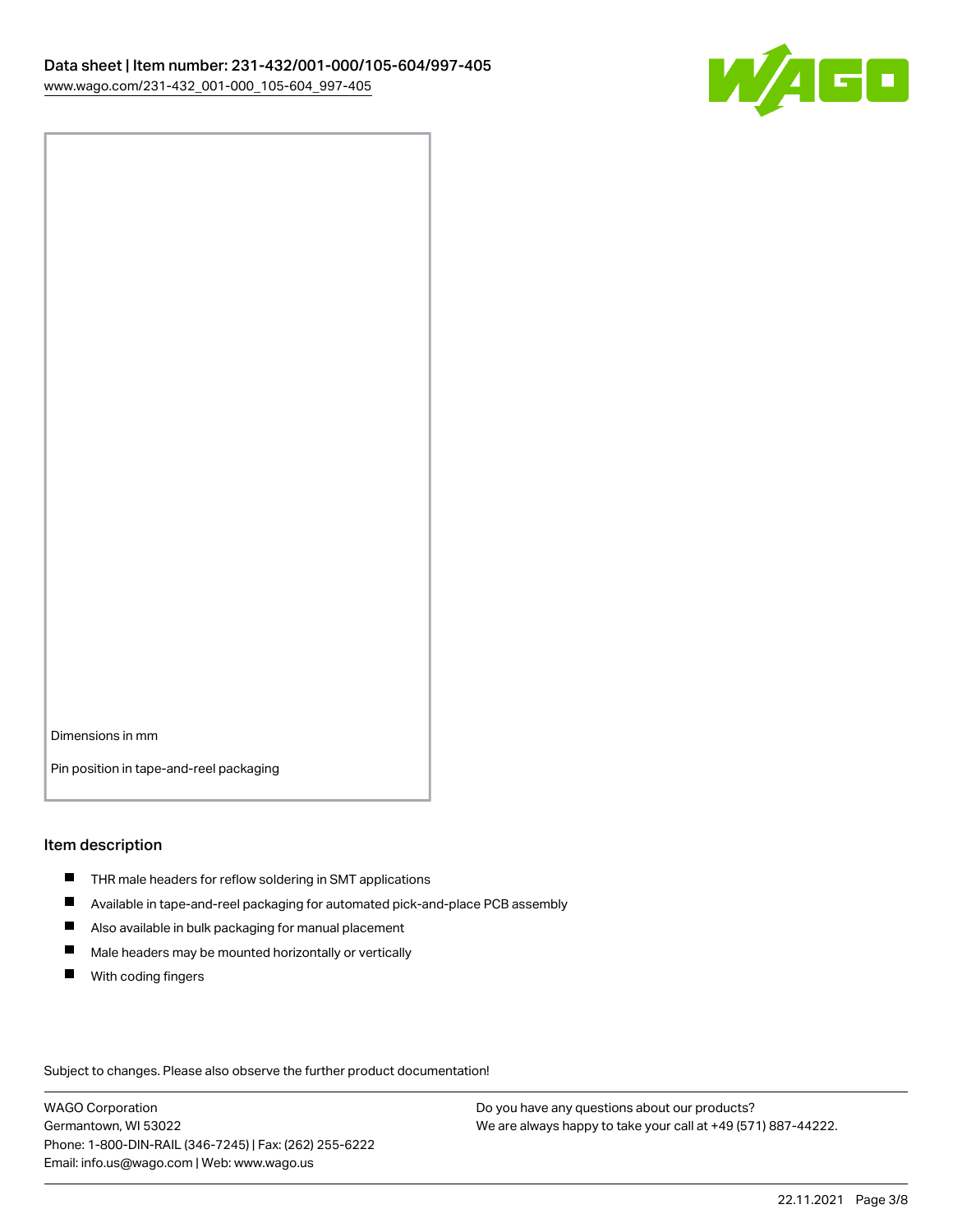

Dimensions in mm

Pin position in tape-and-reel packaging

#### Item description

- **THR** male headers for reflow soldering in SMT applications
- $\blacksquare$ Available in tape-and-reel packaging for automated pick-and-place PCB assembly
- $\blacksquare$ Also available in bulk packaging for manual placement
- $\blacksquare$ Male headers may be mounted horizontally or vertically
- **With coding fingers**

Subject to changes. Please also observe the further product documentation!

WAGO Corporation Germantown, WI 53022 Phone: 1-800-DIN-RAIL (346-7245) | Fax: (262) 255-6222 Email: info.us@wago.com | Web: www.wago.us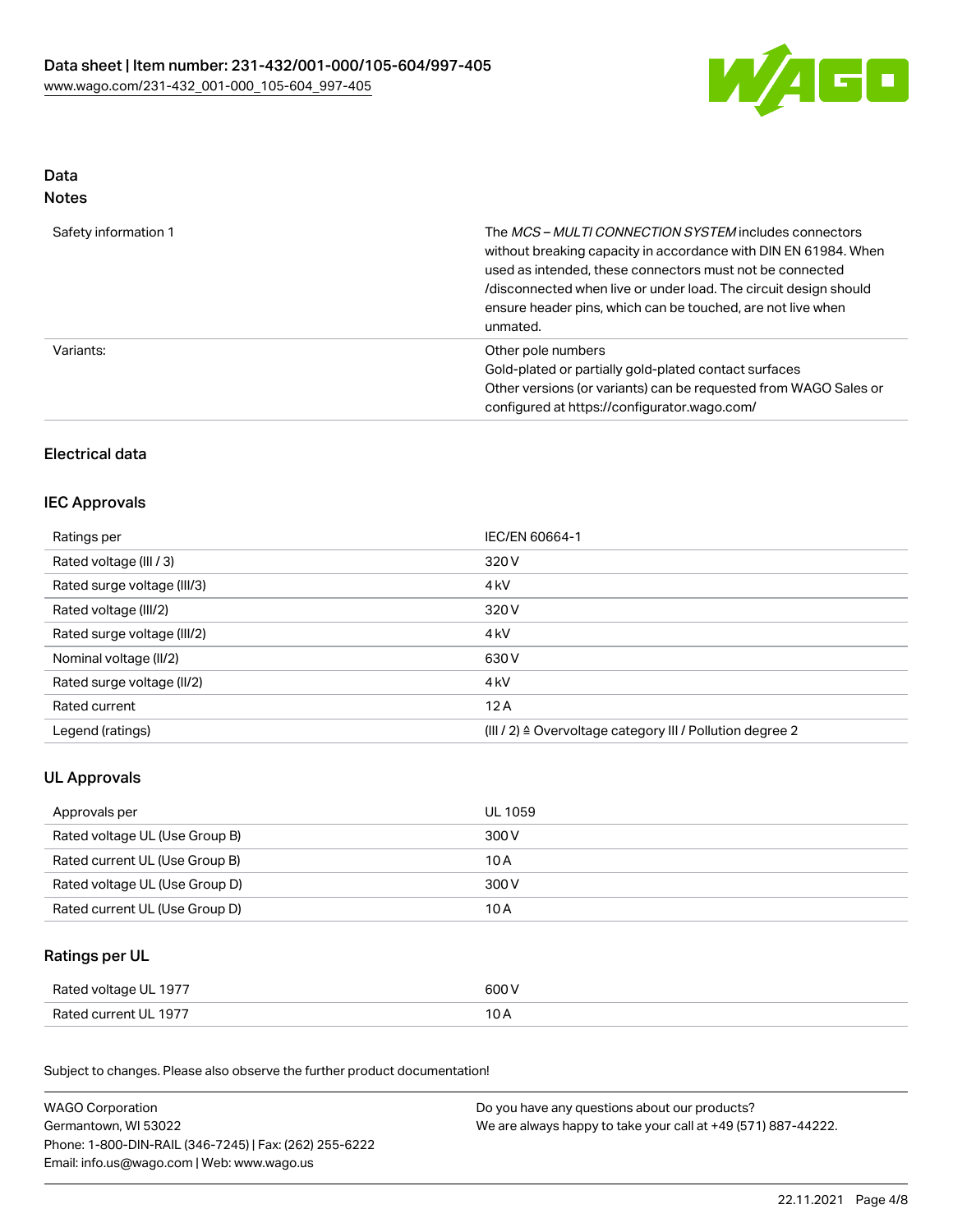

## Data Notes

| Safety information 1 | The MCS-MULTI CONNECTION SYSTEM includes connectors<br>without breaking capacity in accordance with DIN EN 61984. When<br>used as intended, these connectors must not be connected<br>/disconnected when live or under load. The circuit design should<br>ensure header pins, which can be touched, are not live when<br>unmated. |
|----------------------|-----------------------------------------------------------------------------------------------------------------------------------------------------------------------------------------------------------------------------------------------------------------------------------------------------------------------------------|
| Variants:            | Other pole numbers<br>Gold-plated or partially gold-plated contact surfaces<br>Other versions (or variants) can be requested from WAGO Sales or<br>configured at https://configurator.wago.com/                                                                                                                                   |

# Electrical data

## IEC Approvals

| Ratings per                 | IEC/EN 60664-1                                            |
|-----------------------------|-----------------------------------------------------------|
| Rated voltage (III / 3)     | 320 V                                                     |
| Rated surge voltage (III/3) | 4 <sub>kV</sub>                                           |
| Rated voltage (III/2)       | 320 V                                                     |
| Rated surge voltage (III/2) | 4 <sub>k</sub> V                                          |
| Nominal voltage (II/2)      | 630 V                                                     |
| Rated surge voltage (II/2)  | 4 <sub>k</sub> V                                          |
| Rated current               | 12A                                                       |
| Legend (ratings)            | (III / 2) ≙ Overvoltage category III / Pollution degree 2 |

# UL Approvals

| Approvals per                  | UL 1059 |
|--------------------------------|---------|
| Rated voltage UL (Use Group B) | 300 V   |
| Rated current UL (Use Group B) | 10 A    |
| Rated voltage UL (Use Group D) | 300 V   |
| Rated current UL (Use Group D) | 10 A    |

### Ratings per UL

| Rated voltage UL 1977 | 600 V |
|-----------------------|-------|
| Rated current UL 1977 | 10 A  |

Subject to changes. Please also observe the further product documentation!

| <b>WAGO Corporation</b>                                | Do you have any questions about our products?                 |
|--------------------------------------------------------|---------------------------------------------------------------|
| Germantown, WI 53022                                   | We are always happy to take your call at +49 (571) 887-44222. |
| Phone: 1-800-DIN-RAIL (346-7245)   Fax: (262) 255-6222 |                                                               |
| Email: info.us@wago.com   Web: www.wago.us             |                                                               |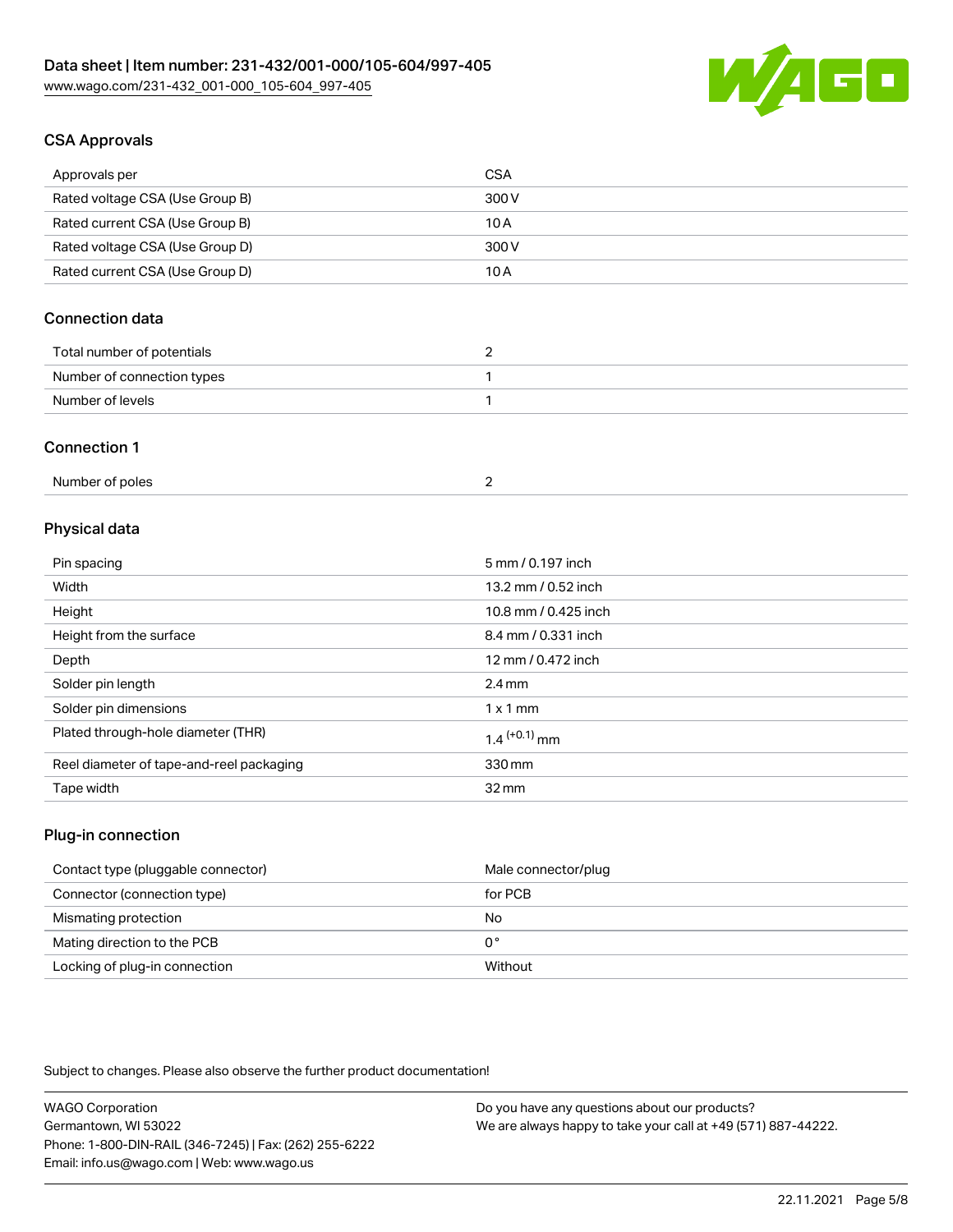

# CSA Approvals

| Approvals per                   | <b>CSA</b> |
|---------------------------------|------------|
| Rated voltage CSA (Use Group B) | 300 V      |
| Rated current CSA (Use Group B) | 10 A       |
| Rated voltage CSA (Use Group D) | 300 V      |
| Rated current CSA (Use Group D) | 10 A       |

# Connection data

| Total number of potentials |  |
|----------------------------|--|
| Number of connection types |  |
| Number of levels           |  |

#### Connection 1

| Number of poles |  |  |
|-----------------|--|--|
|-----------------|--|--|

## Physical data

| Pin spacing                              | 5 mm / 0.197 inch    |
|------------------------------------------|----------------------|
| Width                                    | 13.2 mm / 0.52 inch  |
| Height                                   | 10.8 mm / 0.425 inch |
| Height from the surface                  | 8.4 mm / 0.331 inch  |
| Depth                                    | 12 mm / 0.472 inch   |
| Solder pin length                        | $2.4 \text{ mm}$     |
| Solder pin dimensions                    | $1 \times 1$ mm      |
| Plated through-hole diameter (THR)       | $1.4$ $(+0.1)$ mm    |
| Reel diameter of tape-and-reel packaging | 330 mm               |
| Tape width                               | $32 \,\mathrm{mm}$   |

### Plug-in connection

| Contact type (pluggable connector) | Male connector/plug |
|------------------------------------|---------------------|
| Connector (connection type)        | for PCB             |
| Mismating protection               | No                  |
| Mating direction to the PCB        | 0°                  |
| Locking of plug-in connection      | Without             |

Subject to changes. Please also observe the further product documentation!

| <b>WAGO Corporation</b>                                | Do you have any questions about our products?                 |
|--------------------------------------------------------|---------------------------------------------------------------|
| Germantown, WI 53022                                   | We are always happy to take your call at +49 (571) 887-44222. |
| Phone: 1-800-DIN-RAIL (346-7245)   Fax: (262) 255-6222 |                                                               |
| Email: info.us@wago.com   Web: www.wago.us             |                                                               |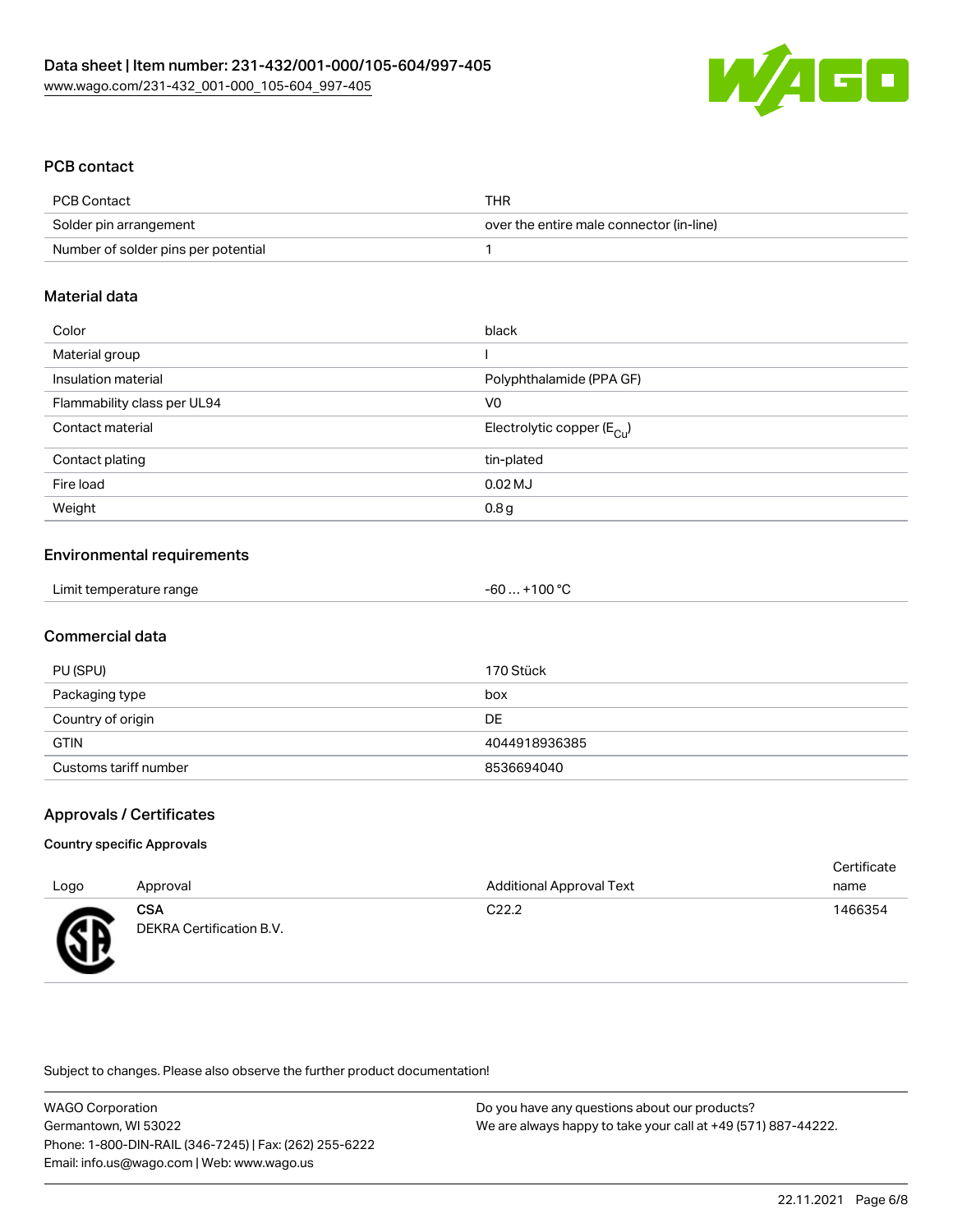

## PCB contact

| PCB Contact                         | THR                                      |
|-------------------------------------|------------------------------------------|
| Solder pin arrangement              | over the entire male connector (in-line) |
| Number of solder pins per potential |                                          |

#### Material data

| Color                       | black                                  |
|-----------------------------|----------------------------------------|
| Material group              |                                        |
| Insulation material         | Polyphthalamide (PPA GF)               |
| Flammability class per UL94 | V <sub>0</sub>                         |
| Contact material            | Electrolytic copper (E <sub>Cu</sub> ) |
| Contact plating             | tin-plated                             |
| Fire load                   | $0.02$ MJ                              |
| Weight                      | 0.8 <sub>g</sub>                       |

## Environmental requirements

| Limit temperature range<br>-60 | $. +100 °C$ |
|--------------------------------|-------------|
|--------------------------------|-------------|

## Commercial data

| PU (SPU)              | 170 Stück     |
|-----------------------|---------------|
| Packaging type        | box           |
| Country of origin     | DE            |
| <b>GTIN</b>           | 4044918936385 |
| Customs tariff number | 8536694040    |

## Approvals / Certificates

#### Country specific Approvals

|      |                                        |                                 | Certificate |
|------|----------------------------------------|---------------------------------|-------------|
| Logo | Approval                               | <b>Additional Approval Text</b> | name        |
| Æ    | <b>CSA</b><br>DEKRA Certification B.V. | C <sub>22.2</sub>               | 1466354     |

Subject to changes. Please also observe the further product documentation!

WAGO Corporation Germantown, WI 53022 Phone: 1-800-DIN-RAIL (346-7245) | Fax: (262) 255-6222 Email: info.us@wago.com | Web: www.wago.us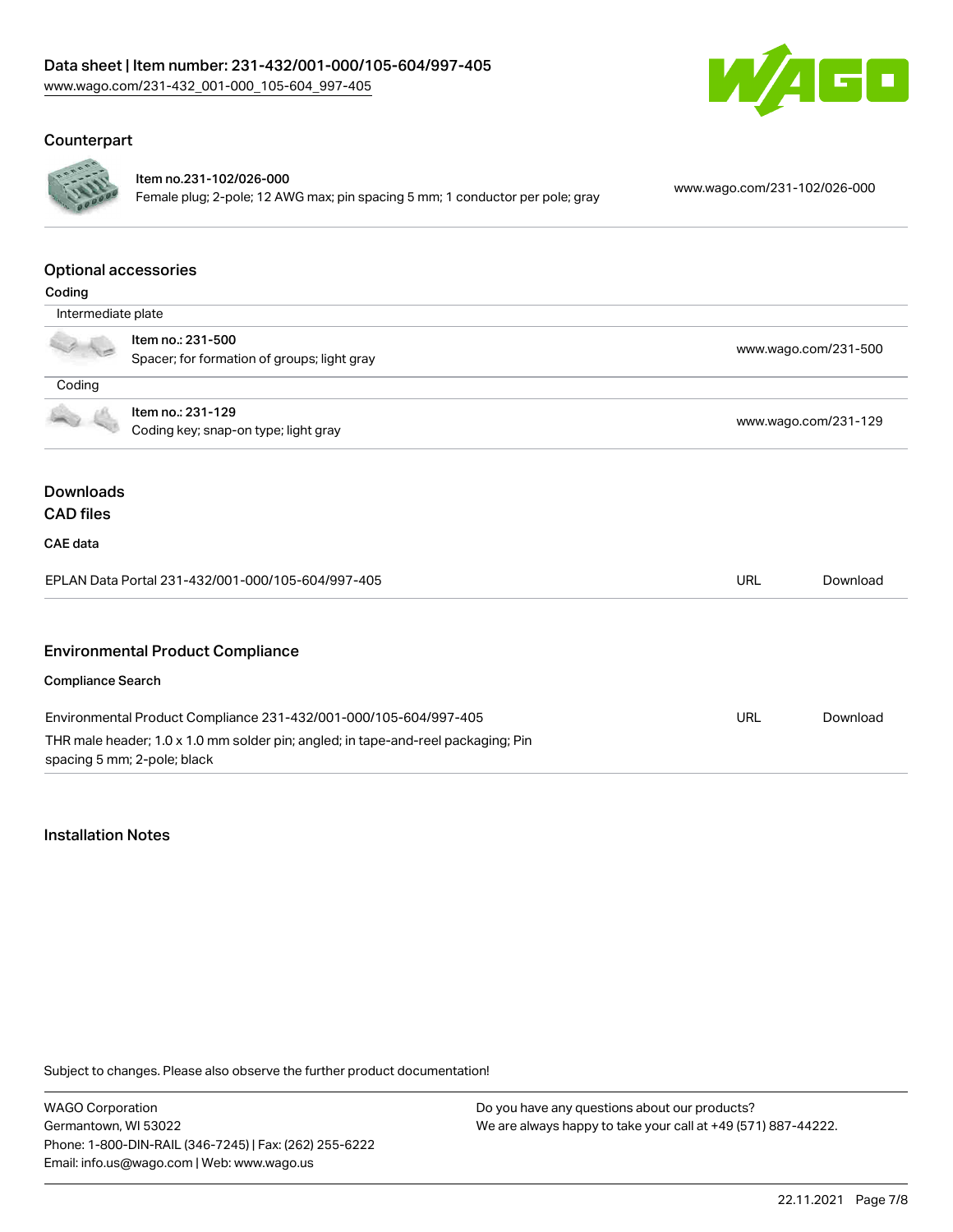

#### Counterpart



#### Item no.231-102/026-000

Female plug; 2-pole; 12 AWG max; pin spacing 5 mm; 1 conductor per pole; gray [www.wago.com/231-102/026-000](https://www.wago.com/231-102/026-000)

#### Optional accessories

| Coding                   |                                                                                                                  |                      |          |
|--------------------------|------------------------------------------------------------------------------------------------------------------|----------------------|----------|
| Intermediate plate       |                                                                                                                  |                      |          |
|                          | Item no.: 231-500                                                                                                | www.wago.com/231-500 |          |
|                          | Spacer; for formation of groups; light gray                                                                      |                      |          |
| Coding                   |                                                                                                                  |                      |          |
|                          | Item no.: 231-129                                                                                                | www.wago.com/231-129 |          |
|                          | Coding key; snap-on type; light gray                                                                             |                      |          |
|                          |                                                                                                                  |                      |          |
| <b>Downloads</b>         |                                                                                                                  |                      |          |
| <b>CAD files</b>         |                                                                                                                  |                      |          |
| <b>CAE</b> data          |                                                                                                                  |                      |          |
|                          | EPLAN Data Portal 231-432/001-000/105-604/997-405                                                                | <b>URL</b>           | Download |
|                          |                                                                                                                  |                      |          |
|                          | <b>Environmental Product Compliance</b>                                                                          |                      |          |
| <b>Compliance Search</b> |                                                                                                                  |                      |          |
|                          | Environmental Product Compliance 231-432/001-000/105-604/997-405                                                 | URL                  | Download |
|                          | THR male header; 1.0 x 1.0 mm solder pin; angled; in tape-and-reel packaging; Pin<br>spacing 5 mm; 2-pole; black |                      |          |

#### Installation Notes

Subject to changes. Please also observe the further product documentation!

WAGO Corporation Germantown, WI 53022 Phone: 1-800-DIN-RAIL (346-7245) | Fax: (262) 255-6222 Email: info.us@wago.com | Web: www.wago.us